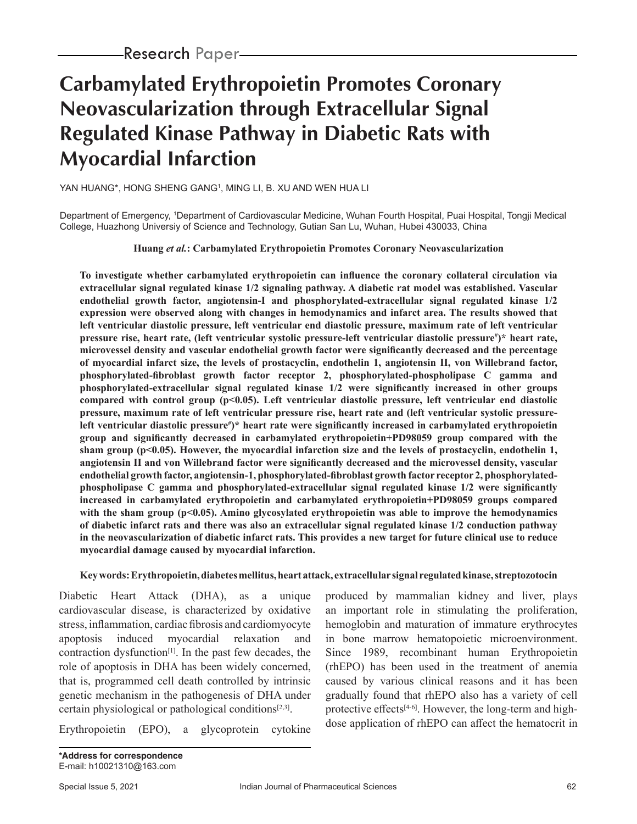# **Carbamylated Erythropoietin Promotes Coronary Neovascularization through Extracellular Signal Regulated Kinase Pathway in Diabetic Rats with Myocardial Infarction**

YAN HUANG\*, HONG SHENG GANG1 , MING LI, B. XU AND WEN HUA LI

Department of Emergency, 'Department of Cardiovascular Medicine, Wuhan Fourth Hospital, Puai Hospital, Tongji Medical College, Huazhong Universiy of Science and Technology, Gutian San Lu, Wuhan, Hubei 430033, China

#### **Huang** *et al.***: Carbamylated Erythropoietin Promotes Coronary Neovascularization**

**To investigate whether carbamylated erythropoietin can influence the coronary collateral circulation via extracellular signal regulated kinase 1/2 signaling pathway. A diabetic rat model was established. Vascular endothelial growth factor, angiotensin-I and phosphorylated-extracellular signal regulated kinase 1/2 expression were observed along with changes in hemodynamics and infarct area. The results showed that left ventricular diastolic pressure, left ventricular end diastolic pressure, maximum rate of left ventricular**  pressure rise, heart rate, (left ventricular systolic pressure-left ventricular diastolic pressure<sup>#</sup>)\* heart rate, **microvessel density and vascular endothelial growth factor were significantly decreased and the percentage of myocardial infarct size, the levels of prostacyclin, endothelin 1, angiotensin II, von Willebrand factor, phosphorylated-fibroblast growth factor receptor 2, phosphorylated-phospholipase C gamma and phosphorylated-extracellular signal regulated kinase 1/2 were significantly increased in other groups compared with control group (p<0.05). Left ventricular diastolic pressure, left ventricular end diastolic pressure, maximum rate of left ventricular pressure rise, heart rate and (left ventricular systolic pressureleft ventricular diastolic pressure# )\* heart rate were significantly increased in carbamylated erythropoietin group and significantly decreased in carbamylated erythropoietin+PD98059 group compared with the sham group (p<0.05). However, the myocardial infarction size and the levels of prostacyclin, endothelin 1, angiotensin II and von Willebrand factor were significantly decreased and the microvessel density, vascular endothelial growth factor, angiotensin-1, phosphorylated-fibroblast growth factor receptor 2, phosphorylatedphospholipase C gamma and phosphorylated-extracellular signal regulated kinase 1/2 were significantly increased in carbamylated erythropoietin and carbamylated erythropoietin+PD98059 groups compared with the sham group (p<0.05). Amino glycosylated erythropoietin was able to improve the hemodynamics of diabetic infarct rats and there was also an extracellular signal regulated kinase 1/2 conduction pathway in the neovascularization of diabetic infarct rats. This provides a new target for future clinical use to reduce myocardial damage caused by myocardial infarction.**

#### **Key words: Erythropoietin, diabetes mellitus, heart attack, extracellular signal regulated kinase, streptozotocin**

Diabetic Heart Attack (DHA), as a unique cardiovascular disease, is characterized by oxidative stress, inflammation, cardiac fibrosis and cardiomyocyte apoptosis induced myocardial relaxation and contraction dysfunction[1]. In the past few decades, the role of apoptosis in DHA has been widely concerned, that is, programmed cell death controlled by intrinsic genetic mechanism in the pathogenesis of DHA under certain physiological or pathological conditions $[2,3]$ .

Erythropoietin (EPO), a glycoprotein cytokine

produced by mammalian kidney and liver, plays an important role in stimulating the proliferation, hemoglobin and maturation of immature erythrocytes in bone marrow hematopoietic microenvironment. Since 1989, recombinant human Erythropoietin (rhEPO) has been used in the treatment of anemia caused by various clinical reasons and it has been gradually found that rhEPO also has a variety of cell protective effects<sup>[4-6]</sup>. However, the long-term and highdose application of rhEPO can affect the hematocrit in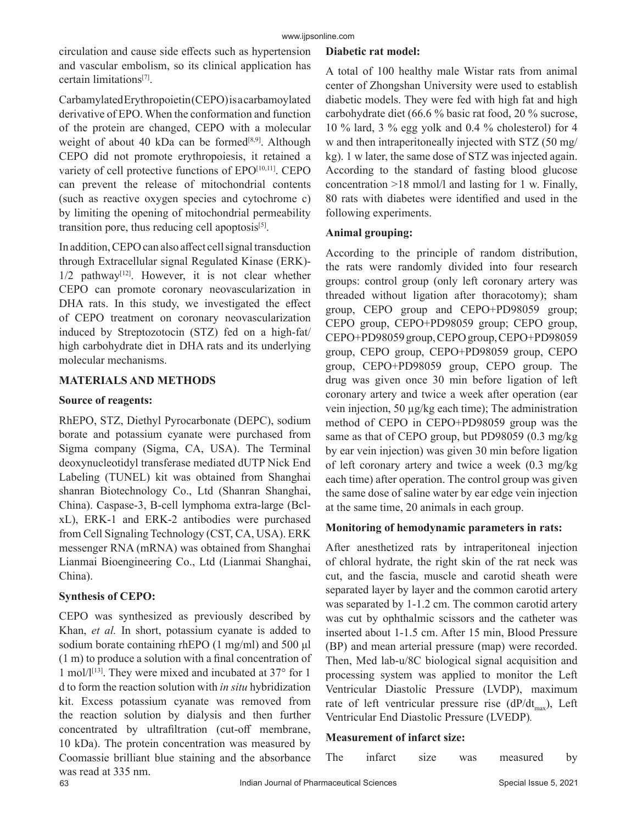circulation and cause side effects such as hypertension and vascular embolism, so its clinical application has certain limitations[7].

Carbamylated Erythropoietin (CEPO) is a carbamoylated derivative of EPO. When the conformation and function of the protein are changed, CEPO with a molecular weight of about 40 kDa can be formed<sup>[8,9]</sup>. Although CEPO did not promote erythropoiesis, it retained a variety of cell protective functions of EPO<sup>[10,11]</sup>. CEPO can prevent the release of mitochondrial contents (such as reactive oxygen species and cytochrome c) by limiting the opening of mitochondrial permeability transition pore, thus reducing cell apoptosis $[5]$ .

In addition, CEPO can also affect cell signal transduction through Extracellular signal Regulated Kinase (ERK)-  $1/2$  pathway<sup>[12]</sup>. However, it is not clear whether CEPO can promote coronary neovascularization in DHA rats. In this study, we investigated the effect of CEPO treatment on coronary neovascularization induced by Streptozotocin (STZ) fed on a high-fat/ high carbohydrate diet in DHA rats and its underlying molecular mechanisms.

# **MATERIALS AND METHODS**

## **Source of reagents:**

RhEPO, STZ, Diethyl Pyrocarbonate (DEPC), sodium borate and potassium cyanate were purchased from Sigma company (Sigma, CA, USA). The Terminal deoxynucleotidyl transferase mediated dUTP Nick End Labeling (TUNEL) kit was obtained from Shanghai shanran Biotechnology Co., Ltd (Shanran Shanghai, China). Caspase-3, B-cell lymphoma extra-large (BclxL), ERK-1 and ERK-2 antibodies were purchased from Cell Signaling Technology (CST, CA, USA). ERK messenger RNA (mRNA) was obtained from Shanghai Lianmai Bioengineering Co., Ltd (Lianmai Shanghai, China).

## **Synthesis of CEPO:**

CEPO was synthesized as previously described by Khan, *et al.* In short, potassium cyanate is added to sodium borate containing rhEPO (1 mg/ml) and 500 μl (1 m) to produce a solution with a final concentration of 1 mol/ $1^{[13]}$ . They were mixed and incubated at 37 $\degree$  for 1 d to form the reaction solution with *in situ* hybridization kit. Excess potassium cyanate was removed from the reaction solution by dialysis and then further concentrated by ultrafiltration (cut-off membrane, 10 kDa). The protein concentration was measured by Coomassie brilliant blue staining and the absorbance was read at 335 nm.

## **Diabetic rat model:**

A total of 100 healthy male Wistar rats from animal center of Zhongshan University were used to establish diabetic models. They were fed with high fat and high carbohydrate diet (66.6 % basic rat food, 20 % sucrose, 10 % lard, 3 % egg yolk and 0.4 % cholesterol) for 4 w and then intraperitoneally injected with STZ (50 mg/ kg). 1 w later, the same dose of STZ was injected again. According to the standard of fasting blood glucose concentration >18 mmol/l and lasting for 1 w. Finally, 80 rats with diabetes were identified and used in the following experiments.

## **Animal grouping:**

According to the principle of random distribution, the rats were randomly divided into four research groups: control group (only left coronary artery was threaded without ligation after thoracotomy); sham group, CEPO group and CEPO+PD98059 group; CEPO group, CEPO+PD98059 group; CEPO group, CEPO+PD98059 group, CEPO group, CEPO+PD98059 group, CEPO group, CEPO+PD98059 group, CEPO group, CEPO+PD98059 group, CEPO group. The drug was given once 30 min before ligation of left coronary artery and twice a week after operation (ear vein injection, 50 µg/kg each time); The administration method of CEPO in CEPO+PD98059 group was the same as that of CEPO group, but PD98059 (0.3 mg/kg by ear vein injection) was given 30 min before ligation of left coronary artery and twice a week (0.3 mg/kg each time) after operation. The control group was given the same dose of saline water by ear edge vein injection at the same time, 20 animals in each group.

## **Monitoring of hemodynamic parameters in rats:**

After anesthetized rats by intraperitoneal injection of chloral hydrate, the right skin of the rat neck was cut, and the fascia, muscle and carotid sheath were separated layer by layer and the common carotid artery was separated by 1-1.2 cm. The common carotid artery was cut by ophthalmic scissors and the catheter was inserted about 1-1.5 cm. After 15 min, Blood Pressure (BP) and mean arterial pressure (map) were recorded. Then, Med lab-u/8C biological signal acquisition and processing system was applied to monitor the Left Ventricular Diastolic Pressure (LVDP), maximum rate of left ventricular pressure rise  $(dP/dt_{\text{max}})$ , Left Ventricular End Diastolic Pressure (LVEDP)*.*

## **Measurement of infarct size:**

| he | ıntarct | size | was | measured | $b$ v |
|----|---------|------|-----|----------|-------|
|    |         |      |     |          |       |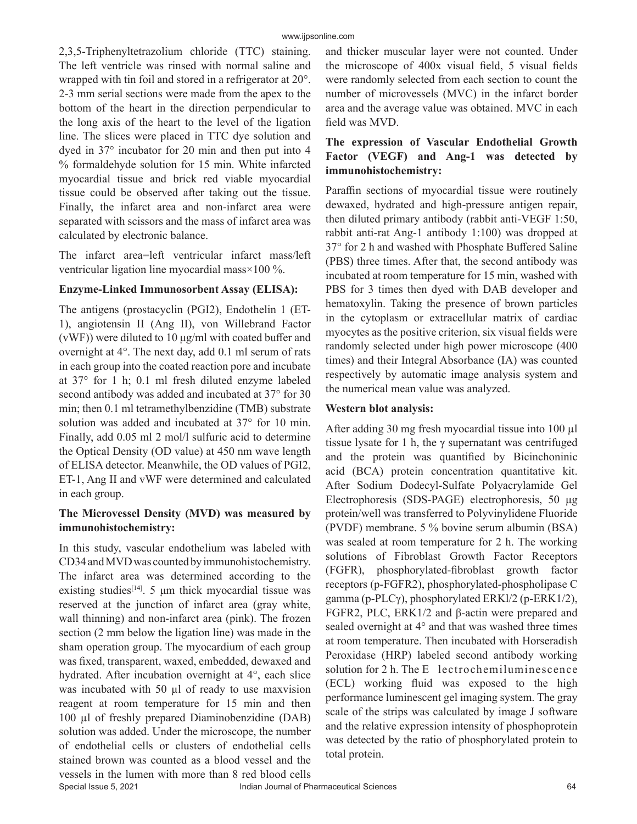2,3,5-Triphenyltetrazolium chloride (TTC) staining. The left ventricle was rinsed with normal saline and wrapped with tin foil and stored in a refrigerator at 20°. 2-3 mm serial sections were made from the apex to the bottom of the heart in the direction perpendicular to the long axis of the heart to the level of the ligation line. The slices were placed in TTC dye solution and dyed in 37° incubator for 20 min and then put into 4 % formaldehyde solution for 15 min. White infarcted myocardial tissue and brick red viable myocardial tissue could be observed after taking out the tissue. Finally, the infarct area and non-infarct area were separated with scissors and the mass of infarct area was calculated by electronic balance.

The infarct area=left ventricular infarct mass/left ventricular ligation line myocardial mass×100 %.

## **Enzyme-Linked Immunosorbent Assay (ELISA):**

The antigens (prostacyclin (PGI2), Endothelin 1 (ET-1), angiotensin II (Ang II), von Willebrand Factor (vWF)) were diluted to 10 μg/ml with coated buffer and overnight at 4°. The next day, add 0.1 ml serum of rats in each group into the coated reaction pore and incubate at 37° for 1 h; 0.1 ml fresh diluted enzyme labeled second antibody was added and incubated at 37° for 30 min; then 0.1 ml tetramethylbenzidine (TMB) substrate solution was added and incubated at 37° for 10 min. Finally, add 0.05 ml 2 mol/l sulfuric acid to determine the Optical Density (OD value) at 450 nm wave length of ELISA detector. Meanwhile, the OD values of PGI2, ET-1, Ang II and vWF were determined and calculated in each group.

# **The Microvessel Density (MVD) was measured by immunohistochemistry:**

In this study, vascular endothelium was labeled with CD34 and MVD was counted by immunohistochemistry. The infarct area was determined according to the existing studies<sup>[14]</sup>. 5  $\mu$ m thick myocardial tissue was reserved at the junction of infarct area (gray white, wall thinning) and non-infarct area (pink). The frozen section (2 mm below the ligation line) was made in the sham operation group. The myocardium of each group was fixed, transparent, waxed, embedded, dewaxed and hydrated. After incubation overnight at 4°, each slice was incubated with 50 µl of ready to use maxvision reagent at room temperature for 15 min and then 100 µl of freshly prepared Diaminobenzidine (DAB) solution was added. Under the microscope, the number of endothelial cells or clusters of endothelial cells stained brown was counted as a blood vessel and the vessels in the lumen with more than 8 red blood cells

and thicker muscular layer were not counted. Under the microscope of 400x visual field, 5 visual fields were randomly selected from each section to count the number of microvessels (MVC) in the infarct border area and the average value was obtained. MVC in each field was MVD.

# **The expression of Vascular Endothelial Growth Factor (VEGF) and Ang-1 was detected by immunohistochemistry:**

Paraffin sections of myocardial tissue were routinely dewaxed, hydrated and high-pressure antigen repair, then diluted primary antibody (rabbit anti-VEGF 1:50, rabbit anti-rat Ang-1 antibody 1:100) was dropped at 37° for 2 h and washed with Phosphate Buffered Saline (PBS) three times. After that, the second antibody was incubated at room temperature for 15 min, washed with PBS for 3 times then dyed with DAB developer and hematoxylin. Taking the presence of brown particles in the cytoplasm or extracellular matrix of cardiac myocytes as the positive criterion, six visual fields were randomly selected under high power microscope (400 times) and their Integral Absorbance (IA) was counted respectively by automatic image analysis system and the numerical mean value was analyzed.

# **Western blot analysis:**

After adding 30 mg fresh myocardial tissue into 100 µl tissue lysate for 1 h, the  $\gamma$  supernatant was centrifuged and the protein was quantified by Bicinchoninic acid (BCA) protein concentration quantitative kit. After Sodium Dodecyl-Sulfate Polyacrylamide Gel Electrophoresis (SDS-PAGE) electrophoresis, 50 μg protein/well was transferred to Polyvinylidene Fluoride (PVDF) membrane. 5 % bovine serum albumin (BSA) was sealed at room temperature for 2 h. The working solutions of Fibroblast Growth Factor Receptors (FGFR), phosphorylated-fibroblast growth factor receptors (p-FGFR2), phosphorylated-phospholipase C gamma (p-PLCγ), phosphorylated ERKl/2 (p-ERK1/2), FGFR2, PLC, ERK1/2 and β-actin were prepared and sealed overnight at 4° and that was washed three times at room temperature. Then incubated with Horseradish Peroxidase (HRP) labeled second antibody working solution for 2 h. The E lectrochemiluminescence (ECL) working fluid was exposed to the high performance luminescent gel imaging system. The gray scale of the strips was calculated by image J software and the relative expression intensity of phosphoprotein was detected by the ratio of phosphorylated protein to total protein.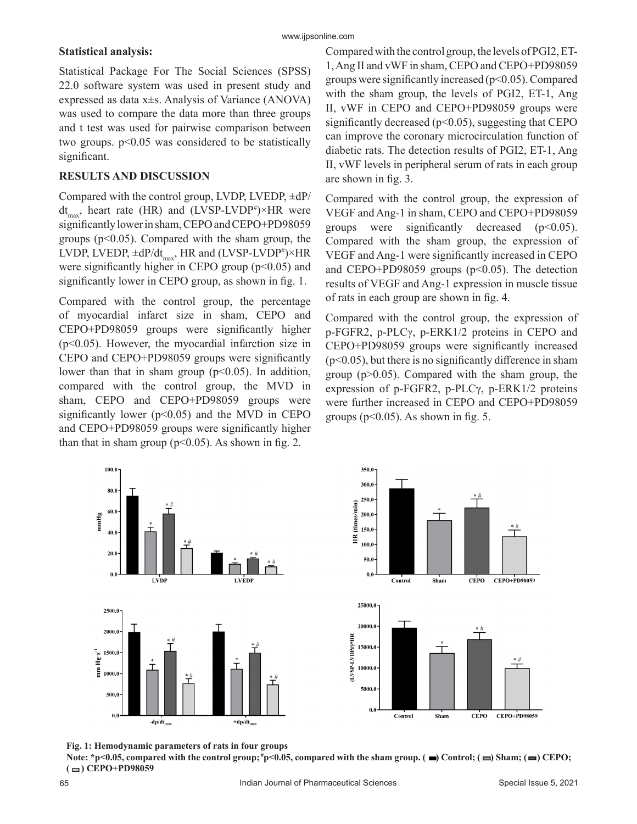#### **Statistical analysis:**

www.ijpsonline.com

Statistical Package For The Social Sciences (SPSS) 22.0 software system was used in present study and expressed as data x±s. Analysis of Variance (ANOVA) was used to compare the data more than three groups and t test was used for pairwise comparison between two groups.  $p<0.05$  was considered to be statistically significant.

# **RESULTS AND DISCUSSION**

Compared with the control group, LVDP, LVEDP, ±dP/  $dt_{\text{max}}$ , heart rate (HR) and (LVSP-LVDP<sup>#</sup>)×HR were significantly lower in sham, CEPO and CEPO+PD98059 groups ( $p<0.05$ ). Compared with the sham group, the LVDP, LVEDP,  $\pm dP/dt_{max}$ , HR and (LVSP-LVDP<sup>#</sup>)×HR were significantly higher in CEPO group  $(p<0.05)$  and significantly lower in CEPO group, as shown in fig. 1.

Compared with the control group, the percentage of myocardial infarct size in sham, CEPO and CEPO+PD98059 groups were significantly higher (p<0.05). However, the myocardial infarction size in CEPO and CEPO+PD98059 groups were significantly lower than that in sham group  $(p<0.05)$ . In addition, compared with the control group, the MVD in sham, CEPO and CEPO+PD98059 groups were significantly lower ( $p<0.05$ ) and the MVD in CEPO and CEPO+PD98059 groups were significantly higher than that in sham group ( $p<0.05$ ). As shown in fig. 2.

Compared with the control group, the levels of PGI2, ET-1, Ang II and vWF in sham, CEPO and CEPO+PD98059 groups were significantly increased ( $p<0.05$ ). Compared with the sham group, the levels of PGI2, ET-1, Ang II, vWF in CEPO and CEPO+PD98059 groups were significantly decreased ( $p$ <0.05), suggesting that CEPO can improve the coronary microcirculation function of diabetic rats. The detection results of PGI2, ET-1, Ang II, vWF levels in peripheral serum of rats in each group are shown in fig. 3.

Compared with the control group, the expression of VEGF and Ang-1 in sham, CEPO and CEPO+PD98059 groups were significantly decreased  $(p<0.05)$ . Compared with the sham group, the expression of VEGF and Ang-1 were significantly increased in CEPO and CEPO+PD98059 groups  $(p<0.05)$ . The detection results of VEGF and Ang-1 expression in muscle tissue of rats in each group are shown in fig. 4.

Compared with the control group, the expression of p-FGFR2, p-PLCγ, p-ERK1/2 proteins in CEPO and CEPO+PD98059 groups were significantly increased  $(p<0.05)$ , but there is no significantly difference in sham group ( $p > 0.05$ ). Compared with the sham group, the expression of p-FGFR2, p-PLCγ, p-ERK1/2 proteins were further increased in CEPO and CEPO+PD98059 groups ( $p<0.05$ ). As shown in fig. 5.





**Fig. 1: Hemodynamic parameters of rats in four groups**

Note: \*p<0.05, compared with the control group; \*p<0.05, compared with the sham group.  $(\blacksquare)$  Control;  $(\blacksquare)$  Sham;  $(\blacksquare)$  CEPO;  $($  $\Box)$  CEPO+PD98059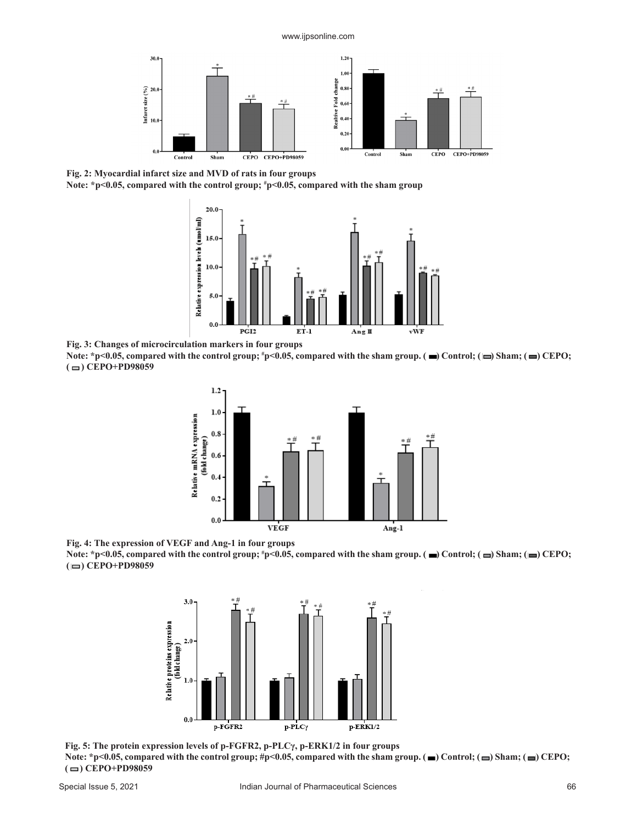www.ijpsonline.com



**Fig. 2: Myocardial infarct size and MVD of rats in four groups**

**Note: \*p<0.05, compared with the control group; # p<0.05, compared with the sham group**



**Fig. 3: Changes of microcirculation markers in four groups**

Note: \*p<0.05, compared with the control group; \*p<0.05, compared with the sham group. ( $\blacksquare$ ) Control; ( $\blacksquare$ ) Sham; ( $\blacksquare$ ) CEPO; **( ) CEPO+PD98059**



**Fig. 4: The expression of VEGF and Ang-1 in four groups**  Note: \*p<0.05, compared with the control group; \*p<0.05, compared with the sham group. ( $\blacksquare$ ) Control; ( $\blacksquare$ ) Sham; ( $\blacksquare$ ) CEPO; **( ) CEPO+PD98059**



**Fig. 5: The protein expression levels of p-FGFR2, p-PLCγ, p-ERK1/2 in four groups** Note:  $*p<0.05$ , compared with the control group; #p<0.05, compared with the sham group.  $\Box$  Control;  $\Box$ ) Sham;  $\Box$ ) CEPO;  $($  $\Box)$  CEPO+PD98059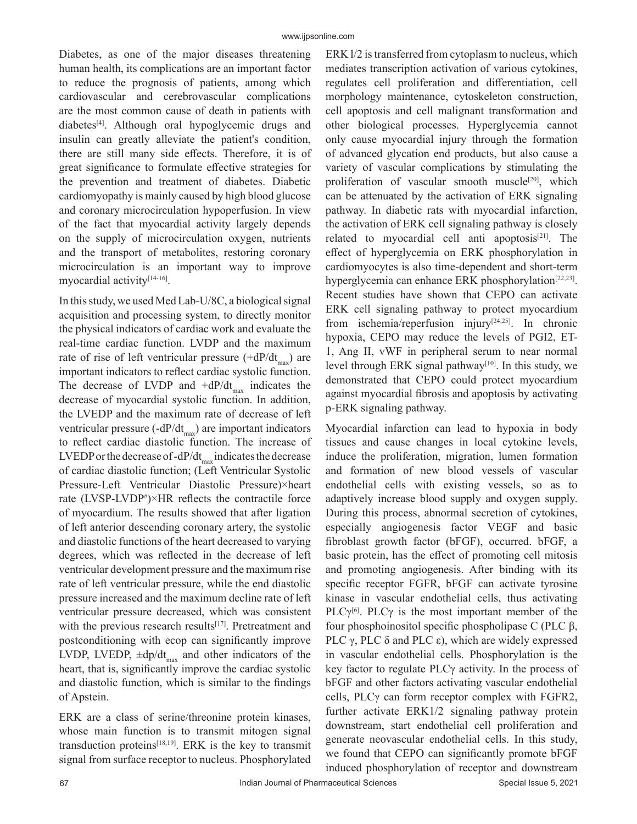Diabetes, as one of the major diseases threatening human health, its complications are an important factor to reduce the prognosis of patients, among which cardiovascular and cerebrovascular complications are the most common cause of death in patients with diabetes[4]. Although oral hypoglycemic drugs and insulin can greatly alleviate the patient's condition, there are still many side effects. Therefore, it is of great significance to formulate effective strategies for the prevention and treatment of diabetes. Diabetic cardiomyopathy is mainly caused by high blood glucose and coronary microcirculation hypoperfusion. In view of the fact that myocardial activity largely depends on the supply of microcirculation oxygen, nutrients and the transport of metabolites, restoring coronary microcirculation is an important way to improve myocardial activity<sup>[14-16]</sup>.

In this study, we used Med Lab-U/8C, a biological signal acquisition and processing system, to directly monitor the physical indicators of cardiac work and evaluate the real-time cardiac function. LVDP and the maximum rate of rise of left ventricular pressure  $(+dP/dt_{\text{max}})$  are important indicators to reflect cardiac systolic function. The decrease of LVDP and  $+dP/dt_{max}$  indicates the decrease of myocardial systolic function. In addition, the LVEDP and the maximum rate of decrease of left ventricular pressure  $(-dP/dt_{max})$  are important indicators to reflect cardiac diastolic function. The increase of LVEDP or the decrease of -dP/dt<sub>max</sub> indicates the decrease of cardiac diastolic function; (Left Ventricular Systolic Pressure-Left Ventricular Diastolic Pressure)×heart rate  $(LVSP-LVDP*)\times HR$  reflects the contractile force of myocardium. The results showed that after ligation of left anterior descending coronary artery, the systolic and diastolic functions of the heart decreased to varying degrees, which was reflected in the decrease of left ventricular development pressure and the maximum rise rate of left ventricular pressure, while the end diastolic pressure increased and the maximum decline rate of left ventricular pressure decreased, which was consistent with the previous research results<sup>[17]</sup>. Pretreatment and postconditioning with ecop can significantly improve LVDP, LVEDP,  $\pm dp/dt_{\text{max}}$  and other indicators of the heart, that is, significantly improve the cardiac systolic and diastolic function, which is similar to the findings of Apstein.

ERK are a class of serine/threonine protein kinases, whose main function is to transmit mitogen signal transduction proteins<sup>[18,19]</sup>. ERK is the key to transmit signal from surface receptor to nucleus. Phosphorylated ERK l/2 is transferred from cytoplasm to nucleus, which mediates transcription activation of various cytokines, regulates cell proliferation and differentiation, cell morphology maintenance, cytoskeleton construction, cell apoptosis and cell malignant transformation and other biological processes. Hyperglycemia cannot only cause myocardial injury through the formation of advanced glycation end products, but also cause a variety of vascular complications by stimulating the proliferation of vascular smooth muscle<sup>[20]</sup>, which can be attenuated by the activation of ERK signaling pathway. In diabetic rats with myocardial infarction, the activation of ERK cell signaling pathway is closely related to myocardial cell anti apoptosis $[21]$ . The effect of hyperglycemia on ERK phosphorylation in cardiomyocytes is also time-dependent and short-term hyperglycemia can enhance ERK phosphorylation<sup>[22,23]</sup>. Recent studies have shown that CEPO can activate ERK cell signaling pathway to protect myocardium from ischemia/reperfusion injury<sup>[24,25]</sup>. In chronic hypoxia, CEPO may reduce the levels of PGI2, ET-1, Ang II, vWF in peripheral serum to near normal level through ERK signal pathway<sup>[10]</sup>. In this study, we demonstrated that CEPO could protect myocardium against myocardial fibrosis and apoptosis by activating p-ERK signaling pathway.

Myocardial infarction can lead to hypoxia in body tissues and cause changes in local cytokine levels, induce the proliferation, migration, lumen formation and formation of new blood vessels of vascular endothelial cells with existing vessels, so as to adaptively increase blood supply and oxygen supply. During this process, abnormal secretion of cytokines, especially angiogenesis factor VEGF and basic fibroblast growth factor (bFGF), occurred. bFGF, a basic protein, has the effect of promoting cell mitosis and promoting angiogenesis. After binding with its specific receptor FGFR, bFGF can activate tyrosine kinase in vascular endothelial cells, thus activating PLC $\gamma^{[6]}$ . PLC $\gamma$  is the most important member of the four phosphoinositol specific phospholipase C (PLC β, PLC  $γ$ , PLC  $δ$  and PLC  $ε$ ), which are widely expressed in vascular endothelial cells. Phosphorylation is the key factor to regulate PLCγ activity. In the process of bFGF and other factors activating vascular endothelial cells, PLCγ can form receptor complex with FGFR2, further activate ERK1/2 signaling pathway protein downstream, start endothelial cell proliferation and generate neovascular endothelial cells. In this study, we found that CEPO can significantly promote bFGF induced phosphorylation of receptor and downstream